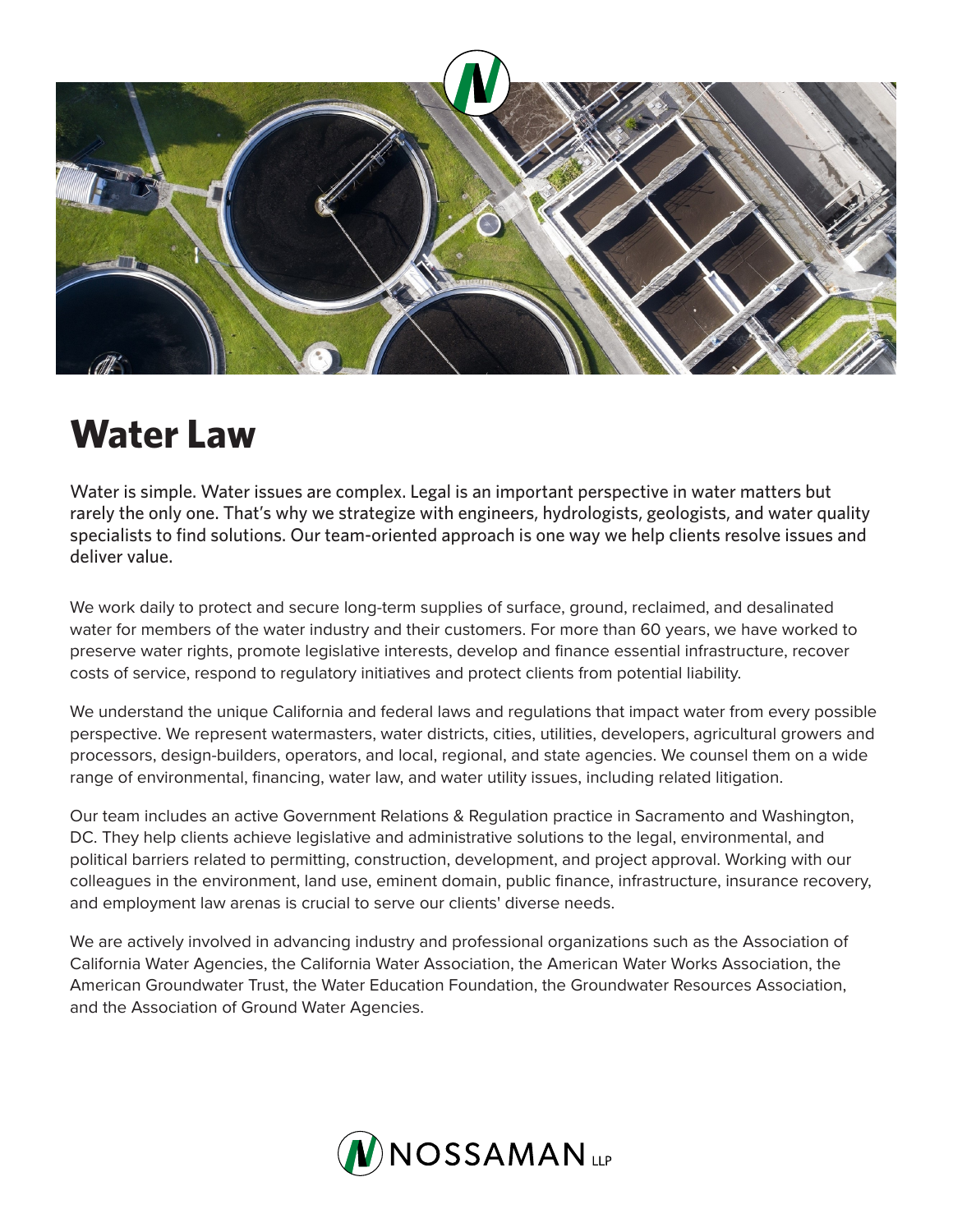

## **Water Law**

Water is simple. Water issues are complex. Legal is an important perspective in water matters but rarely the only one. That's why we strategize with engineers, hydrologists, geologists, and water quality specialists to find solutions. Our team-oriented approach is one way we help clients resolve issues and deliver value.

We work daily to protect and secure long-term supplies of surface, ground, reclaimed, and desalinated water for members of the water industry and their customers. For more than 60 years, we have worked to preserve water rights, promote legislative interests, develop and finance essential infrastructure, recover costs of service, respond to regulatory initiatives and protect clients from potential liability.

We understand the unique California and federal laws and regulations that impact water from every possible perspective. We represent watermasters, water districts, cities, utilities, developers, agricultural growers and processors, design-builders, operators, and local, regional, and state agencies. We counsel them on a wide range of environmental, financing, water law, and water utility issues, including related litigation.

Our team includes an active Government Relations & Regulation practice in Sacramento and Washington, DC. They help clients achieve legislative and administrative solutions to the legal, environmental, and political barriers related to permitting, construction, development, and project approval. Working with our colleagues in the environment, land use, eminent domain, public finance, infrastructure, insurance recovery, and employment law arenas is crucial to serve our clients' diverse needs.

We are actively involved in advancing industry and professional organizations such as the Association of California Water Agencies, the California Water Association, the American Water Works Association, the American Groundwater Trust, the Water Education Foundation, the Groundwater Resources Association, and the Association of Ground Water Agencies.